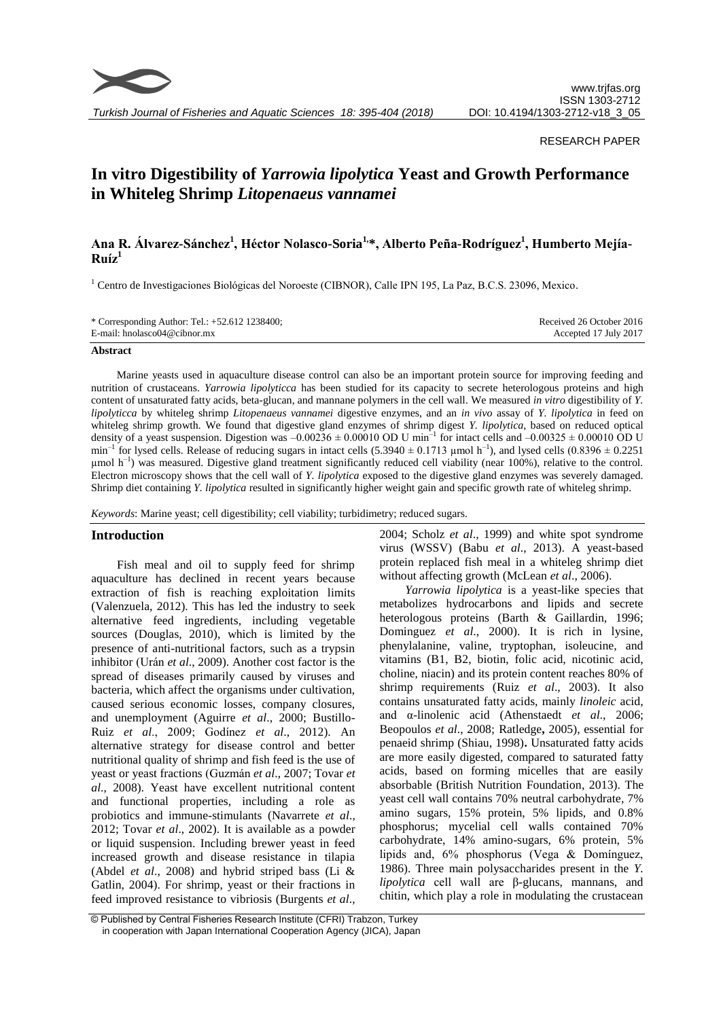

*Turkish Journal of Fisheries and Aquatic Sciences 18: 395-404 (2018)*

#### RESEARCH PAPER

# **In vitro Digestibility of** *Yarrowia lipolytica* **Yeast and Growth Performance in Whiteleg Shrimp** *Litopenaeus vannamei*

## **Ana R. Álvarez-Sánchez<sup>1</sup> , Héctor Nolasco-Soria1,\*, Alberto Peña-Rodríguez<sup>1</sup> , Humberto Mejía-** $Ruíz<sup>1</sup>$

<sup>1</sup> Centro de Investigaciones Biológicas del Noroeste (CIBNOR), Calle IPN 195, La Paz, B.C.S. 23096, Mexico.

| * Corresponding Author: Tel.: $+52.612$ 1238400; | Received 26 October 2016 |
|--------------------------------------------------|--------------------------|
| E-mail: hnolasco04@cibnor.mx                     | Accepted 17 July 2017    |

#### **Abstract**

Marine yeasts used in aquaculture disease control can also be an important protein source for improving feeding and nutrition of crustaceans. *Yarrowia lipolyticca* has been studied for its capacity to secrete heterologous proteins and high content of unsaturated fatty acids, beta-glucan, and mannane polymers in the cell wall. We measured *in vitro* digestibility of *Y. lipolyticca* by whiteleg shrimp *Litopenaeus vannamei* digestive enzymes, and an *in vivo* assay of *Y. lipolytica* in feed on whiteleg shrimp growth. We found that digestive gland enzymes of shrimp digest *Y. lipolytica*, based on reduced optical density of a yeast suspension. Digestion was  $-0.00236 \pm 0.00010$  OD U min<sup>-1</sup> for intact cells and  $-0.00325 \pm 0.00010$  OD U  $min^{-1}$  for lysed cells. Release of reducing sugars in intact cells (5.3940  $\pm$  0.1713 µmol h<sup>-1</sup>), and lysed cells (0.8396  $\pm$  0.2251  $\mu$ mol h<sup>-1</sup>) was measured. Digestive gland treatment significantly reduced cell viability (near 100%), relative to the control. Electron microscopy shows that the cell wall of *Y. lipolytica* exposed to the digestive gland enzymes was severely damaged. Shrimp diet containing *Y. lipolytica* resulted in significantly higher weight gain and specific growth rate of whiteleg shrimp.

*Keywords*: Marine yeast; cell digestibility; cell viability; turbidimetry; reduced sugars.

## **Introduction**

Fish meal and oil to supply feed for shrimp aquaculture has declined in recent years because extraction of fish is reaching exploitation limits (Valenzuela, 2012). This has led the industry to seek alternative feed ingredients, including vegetable sources (Douglas, 2010), which is limited by the presence of anti-nutritional factors, such as a trypsin inhibitor (Urán *et al*., 2009). Another cost factor is the spread of diseases primarily caused by viruses and bacteria, which affect the organisms under cultivation, caused serious economic losses, company closures, and unemployment (Aguirre *et al*., 2000; Bustillo-Ruiz *et al*., 2009; Godínez *et al*., 2012). An alternative strategy for disease control and better nutritional quality of shrimp and fish feed is the use of yeast or yeast fractions (Guzmán *et al*., 2007; Tovar *et al*., 2008). Yeast have excellent nutritional content and functional properties, including a role as probiotics and immune-stimulants (Navarrete *et al*., 2012; Tovar *et al*., 2002). It is available as a powder or liquid suspension. Including brewer yeast in feed increased growth and disease resistance in tilapia (Abdel *et al*., 2008) and hybrid striped bass (Li & Gatlin, 2004). For shrimp, yeast or their fractions in feed improved resistance to vibriosis (Burgents *et al*., 2004; Scholz *et al*., 1999) and white spot syndrome virus (WSSV) (Babu *et al*., 2013). A yeast-based protein replaced fish meal in a whiteleg shrimp diet without affecting growth (McLean *et al*., 2006).

*Yarrowia lipolytica* is a yeast-like species that metabolizes hydrocarbons and lipids and secrete heterologous proteins (Barth & Gaillardin, 1996; Dominguez *et al*., 2000). It is rich in lysine, phenylalanine, valine, tryptophan, isoleucine, and vitamins (B1, B2, biotin, folic acid, nicotinic acid, choline, niacin) and its protein content reaches 80% of shrimp requirements (Ruiz *et al*., 2003). It also contains unsaturated fatty acids, mainly *linoleic* acid, and α-linolenic acid [\(Athenstaedt](http://www.ncbi.nlm.nih.gov/pubmed/?term=Athenstaedt%20K%5BAuthor%5D&cauthor=true&cauthor_uid=16470660) *et al*., 2006; Beopoulos *et al*., 2008; Ratledge**,** 2005), essential for penaeid shrimp (Shiau, 1998)**.** Unsaturated fatty acids are more easily digested, compared to saturated fatty acids, based on forming micelles that are easily absorbable [\(British Nutrition Foundation,](https://www.google.com.mx/search?hl=es&tbo=p&tbm=bks&q=inauthor:%22The+British+Nutrition+Foundation%22&source=gbs_metadata_r&cad=5) 2013). The yeast cell wall contains 70% neutral carbohydrate, 7% amino sugars, 15% protein, 5% lipids, and 0.8% phosphorus; mycelial cell walls contained 70% carbohydrate, 14% amino-sugars, 6% protein, 5% lipids and, 6% phosphorus (Vega & Domínguez, 1986). Three main polysaccharides present in the *Y. lipolytica* cell wall are β-glucans, mannans, and chitin, which play a role in modulating the crustacean

<sup>©</sup> Published by Central Fisheries Research Institute (CFRI) Trabzon, Turkey in cooperation with Japan International Cooperation Agency (JICA), Japan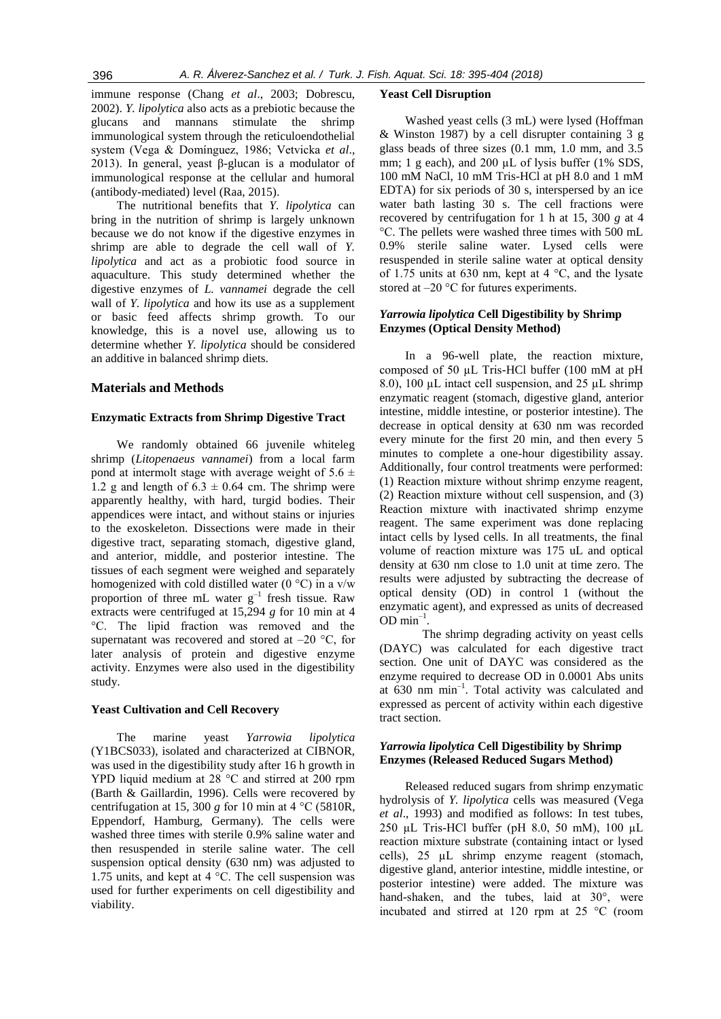immune response (Chang *et al*., 2003; Dobrescu, 2002). *Y. lipolytica* also acts as a prebiotic because the glucans and mannans stimulate the shrimp immunological system through the reticuloendothelial system (Vega & Domínguez, 1986; Vetvicka *et al*., 2013). In general, yeast β-glucan is a modulator of immunological response at the cellular and humoral (antibody-mediated) level (Raa, 2015).

The nutritional benefits that *Y. lipolytica* can bring in the nutrition of shrimp is largely unknown because we do not know if the digestive enzymes in shrimp are able to degrade the cell wall of *Y. lipolytica* and act as a probiotic food source in aquaculture. This study determined whether the digestive enzymes of *L. vannamei* degrade the cell wall of *Y. lipolytica* and how its use as a supplement or basic feed affects shrimp growth. To our knowledge, this is a novel use, allowing us to determine whether *Y. lipolytica* should be considered an additive in balanced shrimp diets.

#### **Materials and Methods**

#### **Enzymatic Extracts from Shrimp Digestive Tract**

We randomly obtained 66 juvenile whiteleg shrimp (*Litopenaeus vannamei*) from a local farm pond at intermolt stage with average weight of  $5.6 \pm$ 1.2 g and length of  $6.3 \pm 0.64$  cm. The shrimp were apparently healthy, with hard, turgid bodies. Their appendices were intact, and without stains or injuries to the exoskeleton. Dissections were made in their digestive tract, separating stomach, digestive gland, and anterior, middle, and posterior intestine. The tissues of each segment were weighed and separately homogenized with cold distilled water (0  $^{\circ}$ C) in a v/w proportion of three mL water  $g^{-1}$  fresh tissue. Raw extracts were centrifuged at 15,294 *g* for 10 min at 4 °C. The lipid fraction was removed and the supernatant was recovered and stored at  $-20$  °C, for later analysis of protein and digestive enzyme activity. Enzymes were also used in the digestibility study.

#### **Yeast Cultivation and Cell Recovery**

The marine yeast *Yarrowia lipolytica* (Y1BCS033), isolated and characterized at CIBNOR, was used in the digestibility study after 16 h growth in YPD liquid medium at 28 °C and stirred at 200 rpm (Barth & Gaillardin, 1996). Cells were recovered by centrifugation at 15, 300 *g* for 10 min at 4  $\degree$ C (5810R, Eppendorf, Hamburg, Germany). The cells were washed three times with sterile 0.9% saline water and then resuspended in sterile saline water. The cell suspension optical density (630 nm) was adjusted to 1.75 units, and kept at 4 °C. The cell suspension was used for further experiments on cell digestibility and viability.

#### **Yeast Cell Disruption**

Washed yeast cells (3 mL) were lysed (Hoffman & Winston 1987) by a cell disrupter containing 3 g glass beads of three sizes (0.1 mm, 1.0 mm, and 3.5 mm; 1 g each), and 200 µL of lysis buffer (1% SDS, 100 mM NaCl, 10 mM Tris-HCl at pH 8.0 and 1 mM EDTA) for six periods of 30 s, interspersed by an ice water bath lasting 30 s. The cell fractions were recovered by centrifugation for 1 h at 15, 300 *g* at 4 °C. The pellets were washed three times with 500 mL 0.9% sterile saline water. Lysed cells were resuspended in sterile saline water at optical density of 1.75 units at 630 nm, kept at 4 °C, and the lysate stored at –20 °C for futures experiments.

## *Yarrowia lipolytica* **Cell Digestibility by Shrimp Enzymes (Optical Density Method)**

In a 96-well plate, the reaction mixture, composed of 50 µL Tris-HCl buffer (100 mM at pH 8.0), 100  $\mu$ L intact cell suspension, and 25  $\mu$ L shrimp enzymatic reagent (stomach, digestive gland, anterior intestine, middle intestine, or posterior intestine). The decrease in optical density at 630 nm was recorded every minute for the first 20 min, and then every 5 minutes to complete a one-hour digestibility assay. Additionally, four control treatments were performed: (1) Reaction mixture without shrimp enzyme reagent, (2) Reaction mixture without cell suspension, and (3) Reaction mixture with inactivated shrimp enzyme reagent. The same experiment was done replacing intact cells by lysed cells. In all treatments, the final volume of reaction mixture was 175 uL and optical density at 630 nm close to 1.0 unit at time zero. The results were adjusted by subtracting the decrease of optical density (OD) in control 1 (without the enzymatic agent), and expressed as units of decreased  $OD \text{ min}^{-1}$ .

The shrimp degrading activity on yeast cells (DAYC) was calculated for each digestive tract section. One unit of DAYC was considered as the enzyme required to decrease OD in 0.0001 Abs units at 630 nm min–1 . Total activity was calculated and expressed as percent of activity within each digestive tract section.

## *Yarrowia lipolytica* **Cell Digestibility by Shrimp Enzymes (Released Reduced Sugars Method)**

Released reduced sugars from shrimp enzymatic hydrolysis of *Y. lipolytica* cells was measured (Vega *et al*., 1993) and modified as follows: In test tubes, 250 µL Tris-HCl buffer (pH 8.0, 50 mM), 100 µL reaction mixture substrate (containing intact or lysed cells), 25 µL shrimp enzyme reagent (stomach, digestive gland, anterior intestine, middle intestine, or posterior intestine) were added. The mixture was hand-shaken, and the tubes, laid at 30°, were incubated and stirred at 120 rpm at 25 °C (room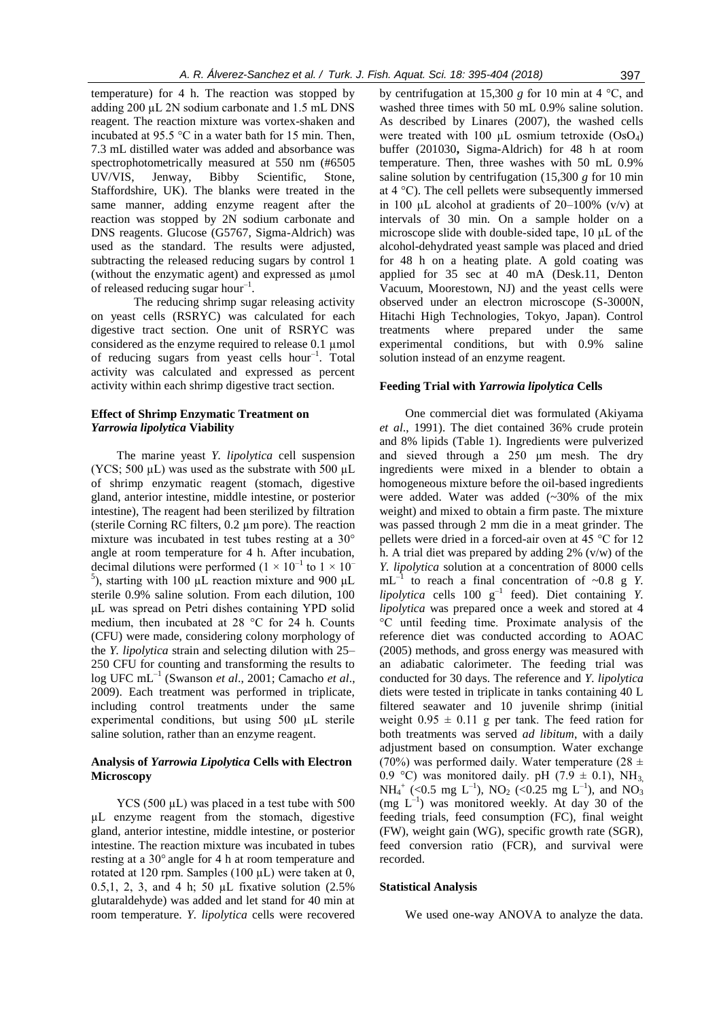temperature) for 4 h. The reaction was stopped by adding 200 µL 2N sodium carbonate and 1.5 mL DNS reagent. The reaction mixture was vortex-shaken and incubated at 95.5 °C in a water bath for 15 min. Then, 7.3 mL distilled water was added and absorbance was spectrophotometrically measured at 550 nm (#6505 UV/VIS, Jenway, Bibby Scientific, Stone, Staffordshire, UK). The blanks were treated in the same manner, adding enzyme reagent after the reaction was stopped by 2N sodium carbonate and DNS reagents. Glucose (G5767, Sigma-Aldrich) was used as the standard. The results were adjusted, subtracting the released reducing sugars by control 1 (without the enzymatic agent) and expressed as µmol of released reducing sugar hour $^{-1}$ .

The reducing shrimp sugar releasing activity on yeast cells (RSRYC) was calculated for each digestive tract section. One unit of RSRYC was considered as the enzyme required to release 0.1 µmol of reducing sugars from yeast cells hour<sup>-1</sup>. Total activity was calculated and expressed as percent activity within each shrimp digestive tract section.

## **Effect of Shrimp Enzymatic Treatment on**  *Yarrowia lipolytica* **Viability**

The marine yeast *Y. lipolytica* cell suspension (YCS; 500  $\mu$ L) was used as the substrate with 500  $\mu$ L of shrimp enzymatic reagent (stomach, digestive gland, anterior intestine, middle intestine, or posterior intestine), The reagent had been sterilized by filtration (sterile Corning RC filters, 0.2 µm pore). The reaction mixture was incubated in test tubes resting at a 30° angle at room temperature for 4 h. After incubation, decimal dilutions were performed  $(1 \times 10^{-1}$  to  $1 \times 10^{-1}$ <sup>5</sup>), starting with 100 μL reaction mixture and 900 μL sterile 0.9% saline solution. From each dilution, 100 μL was spread on Petri dishes containing YPD solid medium, then incubated at 28 °C for 24 h. Counts (CFU) were made, considering colony morphology of the *Y. lipolytica* strain and selecting dilution with 25– 250 CFU for counting and transforming the results to log UFC mL–1 (Swanson *et al*., 2001; Camacho *et al*., 2009). Each treatment was performed in triplicate, including control treatments under the same experimental conditions, but using 500 µL sterile saline solution, rather than an enzyme reagent.

## **Analysis of** *Yarrowia Lipolytica* **Cells with Electron Microscopy**

YCS (500  $\mu$ L) was placed in a test tube with 500 µL enzyme reagent from the stomach, digestive gland, anterior intestine, middle intestine, or posterior intestine. The reaction mixture was incubated in tubes resting at a 30° angle for 4 h at room temperature and rotated at 120 rpm. Samples (100 uL) were taken at 0. 0.5,1, 2, 3, and 4 h; 50 µL fixative solution (2.5% glutaraldehyde) was added and let stand for 40 min at room temperature. *Y. lipolytica* cells were recovered

by centrifugation at 15,300  $g$  for 10 min at 4  $^{\circ}$ C, and washed three times with 50 mL 0.9% saline solution. As described by Linares (2007), the washed cells were treated with 100  $\mu$ L osmium tetroxide (OsO<sub>4</sub>) buffer (201030**,** Sigma-Aldrich) for 48 h at room temperature. Then, three washes with 50 mL 0.9% saline solution by centrifugation (15,300 *g* for 10 min at 4 °C). The cell pellets were subsequently immersed in 100  $\mu$ L alcohol at gradients of 20–100% (v/v) at intervals of 30 min. On a sample holder on a microscope slide with double-sided tape, 10 µL of the alcohol-dehydrated yeast sample was placed and dried for 48 h on a heating plate. A gold coating was applied for 35 sec at 40 mA (Desk.11, Denton Vacuum, Moorestown, NJ) and the yeast cells were observed under an electron microscope (S-3000N, Hitachi High Technologies, Tokyo, Japan). Control treatments where prepared under the same experimental conditions, but with 0.9% saline solution instead of an enzyme reagent.

#### **Feeding Trial with** *Yarrowia lipolytica* **Cells**

One commercial diet was formulated (Akiyama *et al*., 1991). The diet contained 36% crude protein and 8% lipids (Table 1). Ingredients were pulverized and sieved through a 250 μm mesh. The dry ingredients were mixed in a blender to obtain a homogeneous mixture before the oil-based ingredients were added. Water was added (~30% of the mix weight) and mixed to obtain a firm paste. The mixture was passed through 2 mm die in a meat grinder. The pellets were dried in a forced-air oven at 45 °C for 12 h. A trial diet was prepared by adding  $2\%$  (v/w) of the *Y. lipolytica* solution at a concentration of 8000 cells  $mL^{-1}$  to reach a final concentration of ~0.8 g *Y*.  $lipolytica$  cells  $100 \text{ g}^{-1}$  feed). Diet containing *Y*. *lipolytica* was prepared once a week and stored at 4 °C until feeding time. Proximate analysis of the reference diet was conducted according to AOAC (2005) methods, and gross energy was measured with an adiabatic calorimeter. The feeding trial was conducted for 30 days. The reference and *Y. lipolytica* diets were tested in triplicate in tanks containing 40 L filtered seawater and 10 juvenile shrimp (initial weight  $0.95 \pm 0.11$  g per tank. The feed ration for both treatments was served *ad libitum*, with a daily adjustment based on consumption. Water exchange (70%) was performed daily. Water temperature (28  $\pm$ 0.9 °C) was monitored daily. pH (7.9  $\pm$  0.1), NH<sub>3</sub>  $NH_4^+$  (<0.5 mg L<sup>-1</sup>), NO<sub>2</sub> (<0.25 mg L<sup>-1</sup>), and NO<sub>3</sub>  $(mg L^{-1})$  was monitored weekly. At day 30 of the feeding trials, feed consumption (FC), final weight (FW), weight gain (WG), specific growth rate (SGR), feed conversion ratio (FCR), and survival were recorded.

#### **Statistical Analysis**

We used one-way ANOVA to analyze the data.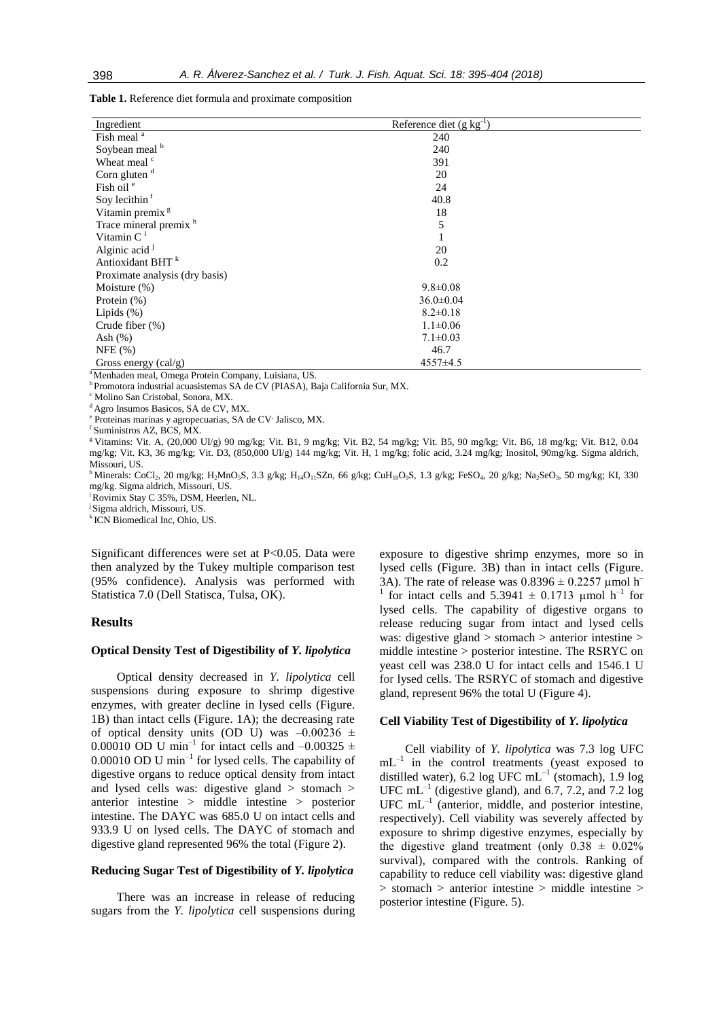**Table 1.** Reference diet formula and proximate composition

| Reference diet $(g \, kg^{-1})$ |                                                                                                                                                  |
|---------------------------------|--------------------------------------------------------------------------------------------------------------------------------------------------|
| 240                             |                                                                                                                                                  |
| 240                             |                                                                                                                                                  |
| 391                             |                                                                                                                                                  |
| 20                              |                                                                                                                                                  |
| 24                              |                                                                                                                                                  |
| 40.8                            |                                                                                                                                                  |
| 18                              |                                                                                                                                                  |
| 5                               |                                                                                                                                                  |
|                                 |                                                                                                                                                  |
| 20                              |                                                                                                                                                  |
| 0.2                             |                                                                                                                                                  |
|                                 |                                                                                                                                                  |
| $9.8 \pm 0.08$                  |                                                                                                                                                  |
| $36.0 \pm 0.04$                 |                                                                                                                                                  |
| $8.2 \pm 0.18$                  |                                                                                                                                                  |
| $1.1 \pm 0.06$                  |                                                                                                                                                  |
| $7.1 \pm 0.03$                  |                                                                                                                                                  |
| 46.7                            |                                                                                                                                                  |
| 4557±4.5                        |                                                                                                                                                  |
|                                 |                                                                                                                                                  |
|                                 |                                                                                                                                                  |
|                                 | <sup>a</sup> Menhaden meal, Omega Protein Company, Luisiana, US.<br>Promotora industrial acuasistemas SA de CV (PIASA), Baja California Sur, MX. |

<sup>c</sup> Molino San Cristobal, Sonora, MX.

<sup>d</sup> Agro Insumos Basicos, SA de CV, MX.

Proteinas marinas y agropecuarias, SA de CV<sup>,</sup> Jalisco, MX.

f Suministros AZ, BCS, MX.

<sup>g</sup> Vitamins: Vit. A, (20,000 UI/g) 90 mg/kg; Vit. B1, 9 mg/kg; Vit. B2, 54 mg/kg; Vit. B5, 90 mg/kg; Vit. B6, 18 mg/kg; Vit. B12, 0.04 mg/kg; Vit. K3, 36 mg/kg; Vit. D3, (850,000 UI/g) 144 mg/kg; Vit. H, 1 mg/kg; folic acid, 3.24 mg/kg; Inositol, 90mg/kg. Sigma aldrich, Missouri, US.

<sup>h</sup> Minerals: CoCl<sub>2</sub>, 20 mg/kg; H<sub>2</sub>MnO<sub>5</sub>S, 3.3 g/kg; H<sub>14</sub>O<sub>11</sub>SZn, 66 g/kg; CuH<sub>10</sub>O<sub>9</sub>S, 1.3 g/kg; FeSO<sub>4</sub>, 20 g/kg; Na<sub>2</sub>SeO<sub>3</sub>, 50 mg/kg; KI, 330 mg/kg. Sigma aldrich, Missouri, US.

<sup>i</sup>Rovimix Stay C 35%, DSM, Heerlen, NL.

<sup>j</sup> Sigma aldrich, Missouri, US.

k ICN Biomedical Inc, Ohio, US.

Significant differences were set at P<0.05. Data were then analyzed by the Tukey multiple comparison test (95% confidence). Analysis was performed with Statistica 7.0 (Dell Statisca, Tulsa, OK).

## **Results**

#### **Optical Density Test of Digestibility of** *Y. lipolytica*

Optical density decreased in *Y. lipolytica* cell suspensions during exposure to shrimp digestive enzymes, with greater decline in lysed cells (Figure. 1B) than intact cells (Figure. 1A); the decreasing rate of optical density units (OD U) was  $-0.00236 \pm 1$ 0.00010 OD U min<sup>-1</sup> for intact cells and  $-0.00325 \pm 1$  $0.00010$  OD U min<sup>-1</sup> for lysed cells. The capability of digestive organs to reduce optical density from intact and lysed cells was: digestive gland > stomach > anterior intestine > middle intestine > posterior intestine. The DAYC was 685.0 U on intact cells and 933.9 U on lysed cells. The DAYC of stomach and digestive gland represented 96% the total (Figure 2).

## **Reducing Sugar Test of Digestibility of** *Y. lipolytica*

There was an increase in release of reducing sugars from the *Y. lipolytica* cell suspensions during exposure to digestive shrimp enzymes, more so in lysed cells (Figure. 3B) than in intact cells (Figure. 3A). The rate of release was  $0.8396 \pm 0.2257$  µmol h<sup>–</sup> 1 for intact cells and  $5.3941 \pm 0.1713$  µmol h<sup>-1</sup> for lysed cells. The capability of digestive organs to release reducing sugar from intact and lysed cells was: digestive gland > stomach > anterior intestine > middle intestine > posterior intestine. The RSRYC on yeast cell was 238.0 U for intact cells and 1546.1 U for lysed cells. The RSRYC of stomach and digestive gland, represent 96% the total U (Figure 4).

## **Cell Viability Test of Digestibility of** *Y. lipolytica*

Cell viability of *Y. lipolytica* was 7.3 log UFC  $mL^{-1}$  in the control treatments (yeast exposed to distilled water), 6.2 log UFC  $mL^{-1}$  (stomach), 1.9 log UFC  $mL^{-1}$  (digestive gland), and 6.7, 7.2, and 7.2 log  $UFC$   $mL^{-1}$  (anterior, middle, and posterior intestine, respectively). Cell viability was severely affected by exposure to shrimp digestive enzymes, especially by the digestive gland treatment (only  $0.38 \pm 0.02\%$ ) survival), compared with the controls. Ranking of capability to reduce cell viability was: digestive gland > stomach > anterior intestine > middle intestine > posterior intestine (Figure. 5).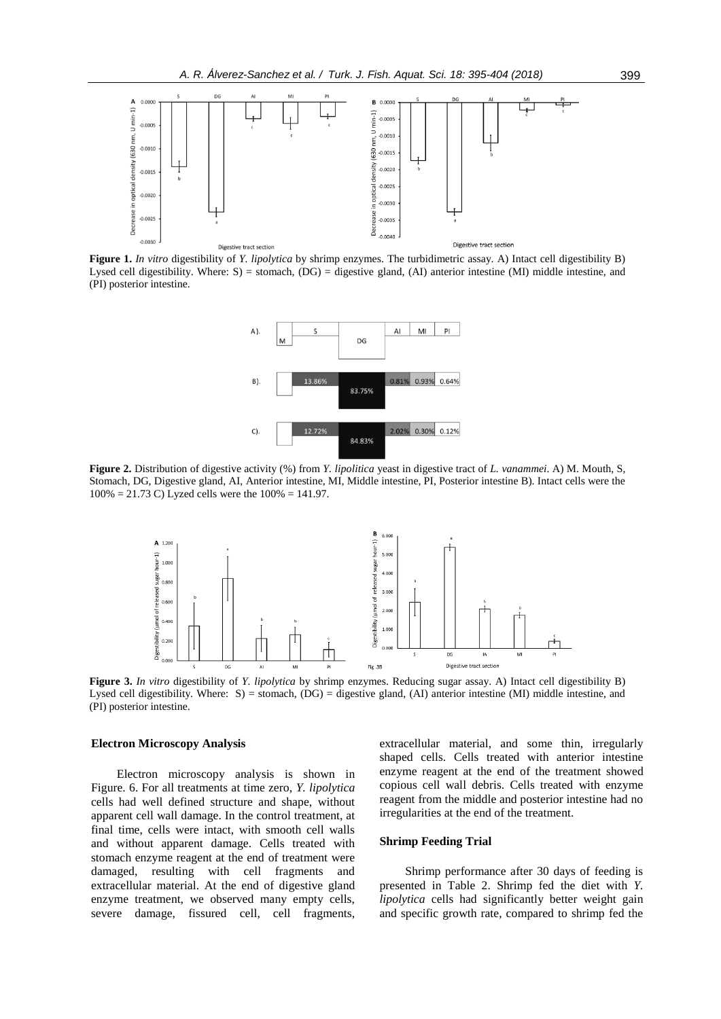

**Figure 1.** *In vitro* digestibility of *Y. lipolytica* by shrimp enzymes. The turbidimetric assay. A) Intact cell digestibility B) Lysed cell digestibility. Where: S) = stomach,  $(DG)$  = digestive gland,  $(AI)$  anterior intestine  $(MI)$  middle intestine, and (PI) posterior intestine.



**Figure 2.** Distribution of digestive activity (%) from *Y. lipolitica* yeast in digestive tract of *L. vanammei*. A) M. Mouth, S, Stomach, DG, Digestive gland, AI, Anterior intestine, MI, Middle intestine, PI, Posterior intestine B). Intact cells were the 100% = 21.73 C) Lyzed cells were the 100% = 141.97.



**Figure 3.** *In vitro* digestibility of *Y. lipolytica* by shrimp enzymes. Reducing sugar assay. A) Intact cell digestibility B) Lysed cell digestibility. Where: S) = stomach, (DG) = digestive gland, (AI) anterior intestine (MI) middle intestine, and (PI) posterior intestine.

#### **Electron Microscopy Analysis**

Electron microscopy analysis is shown in Figure. 6. For all treatments at time zero, *Y. lipolytica* cells had well defined structure and shape, without apparent cell wall damage. In the control treatment, at final time, cells were intact, with smooth cell walls and without apparent damage. Cells treated with stomach enzyme reagent at the end of treatment were damaged, resulting with cell fragments and extracellular material. At the end of digestive gland enzyme treatment, we observed many empty cells, severe damage, fissured cell, cell fragments, extracellular material, and some thin, irregularly shaped cells. Cells treated with anterior intestine enzyme reagent at the end of the treatment showed copious cell wall debris. Cells treated with enzyme reagent from the middle and posterior intestine had no irregularities at the end of the treatment.

#### **Shrimp Feeding Trial**

Shrimp performance after 30 days of feeding is presented in Table 2. Shrimp fed the diet with *Y. lipolytica* cells had significantly better weight gain and specific growth rate, compared to shrimp fed the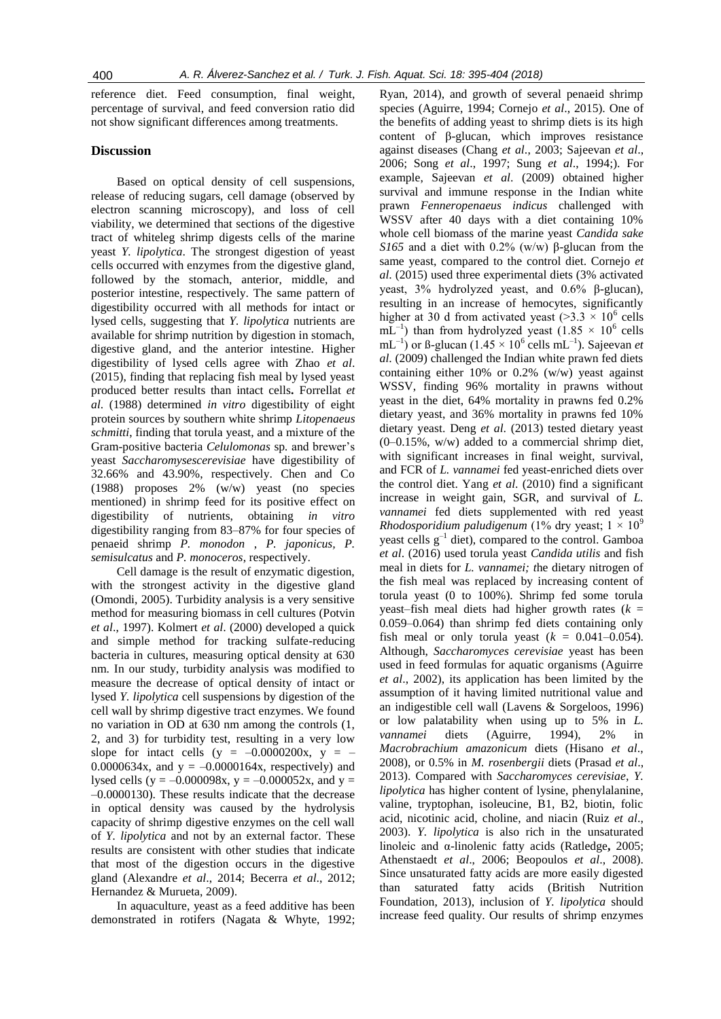reference diet. Feed consumption, final weight, percentage of survival, and feed conversion ratio did not show significant differences among treatments.

## **Discussion**

Based on optical density of cell suspensions, release of reducing sugars, cell damage (observed by electron scanning microscopy), and loss of cell viability, we determined that sections of the digestive tract of whiteleg shrimp digests cells of the marine yeast *Y. lipolytica*. The strongest digestion of yeast cells occurred with enzymes from the digestive gland, followed by the stomach, anterior, middle, and posterior intestine, respectively. The same pattern of digestibility occurred with all methods for intact or lysed cells, suggesting that *Y. lipolytica* nutrients are available for shrimp nutrition by digestion in stomach, digestive gland, and the anterior intestine. Higher digestibility of lysed cells agree with Zhao *et al*. (2015), finding that replacing fish meal by lysed yeast produced better results than intact cells**.** Forrellat *et al*. (1988) determined *in vitro* digestibility of eight protein sources by southern white shrimp *Litopenaeus schmitti*, finding that torula yeast, and a mixture of the Gram-positive bacteria *Celulomonas* sp*.* and brewer's yeast *Saccharomysescerevisiae* have digestibility of 32.66% and 43.90%, respectively. Chen and Co (1988) proposes 2% (w/w) yeast (no species mentioned) in shrimp feed for its positive effect on digestibility of nutrients, obtaining *in vitro* digestibility ranging from 83–87% for four species of penaeid shrimp *P. monodon* , *P. japonicus, P. semisulcatus* and *P. monoceros*, respectively.

Cell damage is the result of enzymatic digestion, with the strongest activity in the digestive gland (Omondi, 2005). Turbidity analysis is a very sensitive method for measuring biomass in cell cultures (Potvin *et al*., 1997). Kolmert *et al*. (2000) developed a quick and simple method for tracking sulfate-reducing bacteria in cultures, measuring optical density at 630 nm. In our study, turbidity analysis was modified to measure the decrease of optical density of intact or lysed *Y. lipolytica* cell suspensions by digestion of the cell wall by shrimp digestive tract enzymes. We found no variation in OD at 630 nm among the controls (1, 2, and 3) for turbidity test, resulting in a very low slope for intact cells (y =  $-0.0000200x$ , y =  $-$ 0.0000634x, and  $y = -0.0000164x$ , respectively) and lysed cells (y =  $-0.000098x$ , y =  $-0.000052x$ , and y = –0.0000130). These results indicate that the decrease in optical density was caused by the hydrolysis capacity of shrimp digestive enzymes on the cell wall of *Y. lipolytica* and not by an external factor. These results are consistent with other studies that indicate that most of the digestion occurs in the digestive gland (Alexandre *et al*., 2014; Becerra *et al*., 2012; Hernandez & Murueta, 2009).

In aquaculture, yeast as a feed additive has been demonstrated in rotifers (Nagata & Whyte, 1992;

Ryan, 2014), and growth of several penaeid shrimp species (Aguirre, 1994; Cornejo *et al*., 2015). One of the benefits of adding yeast to shrimp diets is its high content of β-glucan, which improves resistance against diseases (Chang *et al*., 2003; Sajeevan *et al*., 2006; Song *et al*., 1997; Sung *et al*., 1994;). For example, Sajeevan *et al*. (2009) obtained higher survival and immune response in the Indian white prawn *Fenneropenaeus indicus* challenged with WSSV after 40 days with a diet containing 10% whole cell biomass of the marine yeast *Candida sake S165* and a diet with 0.2% (w/w) β-glucan from the same yeast, compared to the control diet. Cornejo *et al*. (2015) used three experimental diets (3% activated yeast, 3% hydrolyzed yeast, and 0.6% β-glucan), resulting in an increase of hemocytes, significantly higher at 30 d from activated yeast (>3.3  $\times$  10<sup>6</sup> cells  $mL^{-1}$ ) than from hydrolyzed yeast (1.85  $\times$  10<sup>6</sup> cells mL<sup>-1</sup>) or ß-glucan (1.45  $\times$  10<sup>6</sup> cells mL<sup>-1</sup>). Sajeevan *et al*. (2009) challenged the Indian white prawn fed diets containing either 10% or 0.2% (w/w) yeast against WSSV, finding 96% mortality in prawns without yeast in the diet, 64% mortality in prawns fed 0.2% dietary yeast, and 36% mortality in prawns fed 10% dietary yeast. Deng *et al*. (2013) tested dietary yeast  $(0-0.15\%, w/w)$  added to a commercial shrimp diet, with significant increases in final weight, survival, and FCR of *L. vannamei* fed yeast-enriched diets over the control diet. Yang *et al*. (2010) find a significant increase in weight gain, SGR, and survival of *L. vannamei* fed diets supplemented with red yeast *Rhodosporidium paludigenum* (1% dry yeast;  $1 \times 10^9$ yeast cells  $g^{-1}$  diet), compared to the control. Gamboa *et al*. (2016) used torula yeast *Candida utilis* and fish meal in diets for *L. vannamei; t*he dietary nitrogen of the fish meal was replaced by increasing content of torula yeast (0 to 100%). Shrimp fed some torula yeast–fish meal diets had higher growth rates  $(k =$ 0.059–0.064) than shrimp fed diets containing only fish meal or only torula yeast  $(k = 0.041 - 0.054)$ . Although, *Saccharomyces cerevisiae* yeast has been used in feed formulas for aquatic organisms (Aguirre *et al*., 2002), its application has been limited by the assumption of it having limited nutritional value and an indigestible cell wall (Lavens & Sorgeloos, 1996) or low palatability when using up to 5% in *L. vannamei* diets (Aguirre, 1994), 2% in *Macrobrachium amazonicum* diets (Hisano *et al*., 2008), or 0.5% in *M. rosenbergii* diets (Prasad *et al*., 2013). Compared with *Saccharomyces cerevisiae*, *Y. lipolytica* has higher content of lysine, phenylalanine, valine, tryptophan, isoleucine, B1, B2, biotin, folic acid, nicotinic acid, choline, and niacin (Ruiz *et al*., 2003). *Y. lipolytica* is also rich in the unsaturated linoleic and α-linolenic fatty acids (Ratledge**,** 2005; [Athenstaedt](http://www.ncbi.nlm.nih.gov/pubmed/?term=Athenstaedt%20K%5BAuthor%5D&cauthor=true&cauthor_uid=16470660) *et al*., 2006; Beopoulos *et al*., 2008). Since unsaturated fatty acids are more easily digested than saturated fatty acids [\(British Nutrition](https://www.google.com.mx/search?hl=es&tbo=p&tbm=bks&q=inauthor:%22The+British+Nutrition+Foundation%22&source=gbs_metadata_r&cad=5)  [Foundation,](https://www.google.com.mx/search?hl=es&tbo=p&tbm=bks&q=inauthor:%22The+British+Nutrition+Foundation%22&source=gbs_metadata_r&cad=5) 2013), inclusion of *Y. lipolytica* should increase feed quality. Our results of shrimp enzymes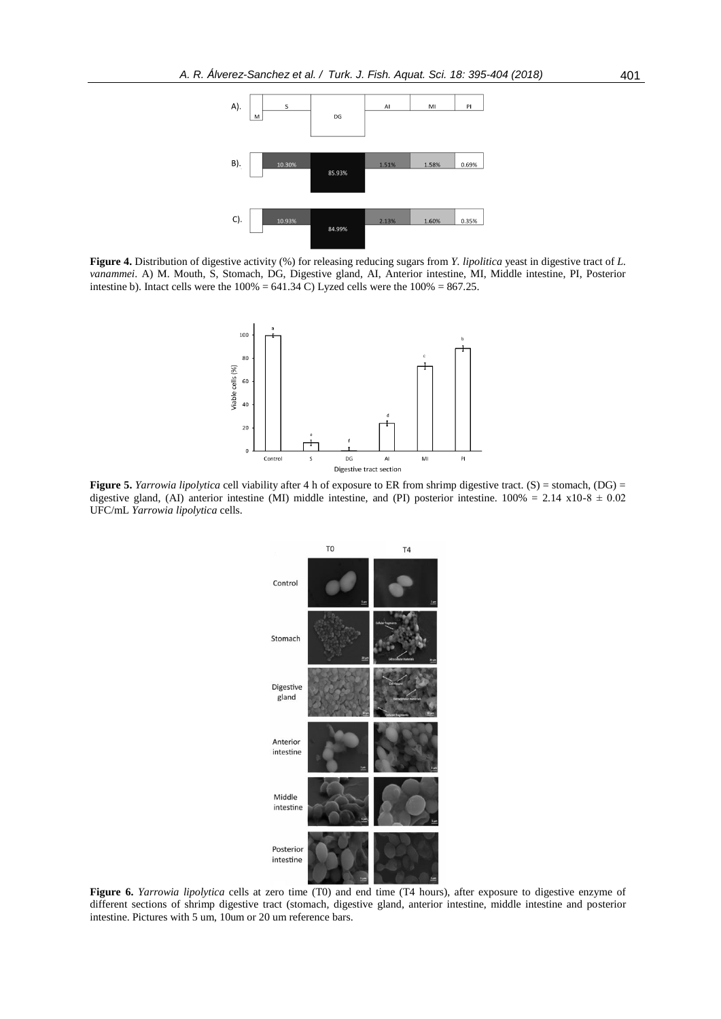

**Figure 4.** Distribution of digestive activity (%) for releasing reducing sugars from *Y. lipolitica* yeast in digestive tract of *L. vanammei*. A) M. Mouth, S, Stomach, DG, Digestive gland, AI, Anterior intestine, MI, Middle intestine, PI, Posterior intestine b). Intact cells were the  $100\% = 641.34$  C) Lyzed cells were the  $100\% = 867.25$ .



**Figure 5.** *Yarrowia lipolytica* cell viability after 4 h of exposure to ER from shrimp digestive tract. (S) = stomach, (DG) = digestive gland, (AI) anterior intestine (MI) middle intestine, and (PI) posterior intestine.  $100\% = 2.14 \times 10^{-8} \pm 0.02$ UFC/mL *Yarrowia lipolytica* cells.



**Figure 6.** *Yarrowia lipolytica* cells at zero time (T0) and end time (T4 hours), after exposure to digestive enzyme of different sections of shrimp digestive tract (stomach, digestive gland, anterior intestine, middle intestine and posterior intestine. Pictures with 5 um, 10um or 20 um reference bars.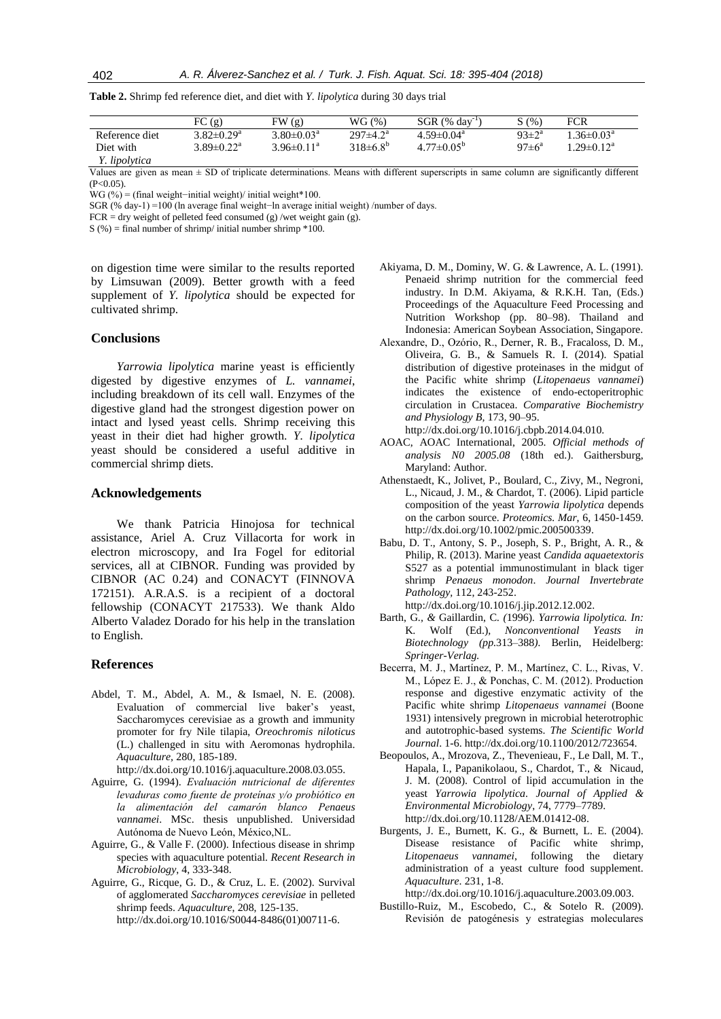|                | FC(g)                        | FW(g)                      | WG(%)                      | $SGR$ (% day <sup>-1</sup> ) | S(%                | <b>FCR</b>                  |
|----------------|------------------------------|----------------------------|----------------------------|------------------------------|--------------------|-----------------------------|
| Reference diet | $3.82 \pm 0.29^a$            | $3.80 \pm 0.03^{\text{a}}$ | $297 \pm 4.2^{\mathrm{a}}$ | $4.59 \pm 0.04^a$            | $93 \pm 2^{\rm a}$ | $1.36 \pm 0.03^{\text{a}}$  |
| Diet with      | $3.89 \pm 0.22$ <sup>a</sup> | $3.96\pm0.11^a$            | $318\pm6.8^{b}$            | $4.77 \pm 0.05^{\circ}$      | $97\pm6^{\circ}$   | .29 $\pm$ 0.12 <sup>a</sup> |
| Y. lipolytica  |                              |                            |                            |                              |                    |                             |

**Table 2.** Shrimp fed reference diet, and diet with *Y. lipolytica* during 30 days trial

Values are given as mean ± SD of triplicate determinations. Means with different superscripts in same column are significantly different  $(P < 0.05)$ .

WG (%) = (final weight–initial weight)/ initial weight\*100.

SGR (% day-1) =100 (ln average final weight−ln average initial weight) /number of days.

 $FCR = dry weight of pelleted feed consumed (g) / wet weight gain (g).$ 

 $S$  (%) = final number of shrimp/ initial number shrimp  $*100$ .

on digestion time were similar to the results reported by Limsuwan (2009). Better growth with a feed supplement of *Y. lipolytica* should be expected for cultivated shrimp.

## **Conclusions**

*Yarrowia lipolytica* marine yeast is efficiently digested by digestive enzymes of *L. vannamei*, including breakdown of its cell wall. Enzymes of the digestive gland had the strongest digestion power on intact and lysed yeast cells. Shrimp receiving this yeast in their diet had higher growth. *Y. lipolytica*  yeast should be considered a useful additive in commercial shrimp diets.

#### **Acknowledgements**

We thank Patricia Hinojosa for technical assistance, Ariel A. Cruz Villacorta for work in electron microscopy, and Ira Fogel for editorial services, all at CIBNOR. Funding was provided by CIBNOR (AC 0.24) and CONACYT (FINNOVA 172151). A.R.A.S. is a recipient of a doctoral fellowship (CONACYT 217533). We thank Aldo Alberto Valadez Dorado for his help in the translation to English.

#### **References**

Abdel, T. M., Abdel, A. M., & Ismael, N. E. (2008). Evaluation of commercial live baker's yeast, Saccharomyces cerevisiae as a growth and immunity promoter for fry Nile tilapia, *Oreochromis niloticus* (L.) challenged in situ with Aeromonas hydrophila. *Aquaculture,* 280, 185-189.

http://dx.doi.org/10.1016/j.aquaculture.2008.03.055.

- Aguirre, G. (1994). *Evaluación nutricional de diferentes levaduras como fuente de proteínas y/o probiótico en la alimentación del camarón blanco Penaeus vannamei*. MSc. thesis unpublished. Universidad Autónoma de Nuevo León, México,NL.
- Aguirre, G., & Valle F. (2000). Infectious disease in shrimp species with aquaculture potential. *Recent Research in Microbiology*, 4, 333-348.
- Aguirre, G., Ricque, G. D., & Cruz, L. E. (2002). Survival of agglomerated *Saccharomyces cerevisiae* in pelleted shrimp feeds. *Aquaculture*, 208, 125-135. http://dx.doi.org/10.1016/S0044-8486(01)00711-6.
- Akiyama, D. M., Dominy, W. G. & Lawrence, A. L. (1991). Penaeid shrimp nutrition for the commercial feed industry. In D.M. Akiyama, & R.K.H. Tan, (Eds.) Proceedings of the Aquaculture Feed Processing and Nutrition Workshop (pp. 80–98). Thailand and Indonesia: American Soybean Association, Singapore.
- Alexandre, D., Ozório, R., Derner, R. B., Fracaloss, D. M., Oliveira, G. B., & Samuels R. I. (2014). Spatial distribution of digestive proteinases in the midgut of the Pacific white shrimp (*Litopenaeus vannamei*) indicates the existence of endo-ectoperitrophic circulation in Crustacea. *Comparative Biochemistry and Physiology B,* 173, 90–95. http://dx.doi.org/10.1016/j.cbpb.2014.04.010.
- AOAC, AOAC International, 2005. *Official methods of analysis N0 2005.08* (18th ed.). Gaithersburg, Maryland: Author.
- [Athenstaedt, K.](http://www.ncbi.nlm.nih.gov/pubmed/?term=Athenstaedt%20K%5BAuthor%5D&cauthor=true&cauthor_uid=16470660), Jolivet, P., Boulard, C., Zivy, M., Negroni, L., Nicaud, J. M., & Chardot, T. (2006). Lipid particle composition of the yeast *Yarrowia lipolytica* depends on the carbon source. *[Proteomics.](http://www.ncbi.nlm.nih.gov/pubmed/16470660) Mar*, 6, 1450-1459. http://dx.doi.or[g/10.1002/pmic.200500339.](https://dx.doi.org/10.1002/pmic.200500339)
- [Babu, D. T.](http://www.ncbi.nlm.nih.gov/pubmed/?term=Babu%20DT%5BAuthor%5D&cauthor=true&cauthor_uid=23262396), [Antony, S. P.,](http://www.ncbi.nlm.nih.gov/pubmed/?term=Antony%20SP%5BAuthor%5D&cauthor=true&cauthor_uid=23262396) [Joseph, S. P.](http://www.ncbi.nlm.nih.gov/pubmed/?term=Joseph%20SP%5BAuthor%5D&cauthor=true&cauthor_uid=23262396), [Bright, A. R.](http://www.ncbi.nlm.nih.gov/pubmed/?term=Bright%20AR%5BAuthor%5D&cauthor=true&cauthor_uid=23262396), & [Philip, R.](http://www.ncbi.nlm.nih.gov/pubmed/?term=Philip%20R%5BAuthor%5D&cauthor=true&cauthor_uid=23262396) (2013). Marine yeast *Candida aquaetextoris* S527 as a potential immunostimulant in black tiger shrimp *Penaeus monodon*. *Journal Invertebrate Pathology,* 112, 243-252. [http://dx.doi.org/10.1016/j.jip.2012.12.002.](http://dx.doi.org/10.1016/j.jip.2012.12.002)
- Barth, G.*, &* Gaillardin, C*. (*1996)*. Yarrowia lipolytica. In:*  K*.* Wolf (Ed.)*, Nonconventional Yeasts in Biotechnology (pp.*313*–*388*).* Berlin, Heidelberg: *Springer-Verlag.*
- Becerra, M. J., Martínez, P. M., Martínez, C. L., Rivas, V. M., López E. J., & Ponchas, C. M. (2012). Production response and digestive enzymatic activity of the Pacific white shrimp *Litopenaeus vannamei* (Boone 1931) intensively pregrown in microbial heterotrophic and autotrophic-based systems. *The Scientific World Journal*. 1-6. http://dx.doi.or[g/10.1100/2012/723654.](https://dx.doi.org/10.1100%2F2012%2F723654)
- [Beopoulos, A.](http://www.ncbi.nlm.nih.gov/pubmed/?term=Beopoulos%20A%5BAuthor%5D&cauthor=true&cauthor_uid=18952867)[, Mrozova, Z.](http://www.ncbi.nlm.nih.gov/pubmed/?term=Mrozova%20Z%5BAuthor%5D&cauthor=true&cauthor_uid=18952867), [Thevenieau, F.](http://www.ncbi.nlm.nih.gov/pubmed/?term=Thevenieau%20F%5BAuthor%5D&cauthor=true&cauthor_uid=18952867)[, Le Dall, M. T.](http://www.ncbi.nlm.nih.gov/pubmed/?term=Le%20Dall%20MT%5BAuthor%5D&cauthor=true&cauthor_uid=18952867), [Hapala, I.,](http://www.ncbi.nlm.nih.gov/pubmed/?term=Hapala%20I%5BAuthor%5D&cauthor=true&cauthor_uid=18952867) [Papanikolaou, S.,](http://www.ncbi.nlm.nih.gov/pubmed/?term=Papanikolaou%20S%5BAuthor%5D&cauthor=true&cauthor_uid=18952867) [Chardot, T.](http://www.ncbi.nlm.nih.gov/pubmed/?term=Chardot%20T%5BAuthor%5D&cauthor=true&cauthor_uid=18952867), & [Nicaud,](http://www.ncbi.nlm.nih.gov/pubmed/?term=Nicaud%20JM%5BAuthor%5D&cauthor=true&cauthor_uid=18952867)  [J. M.](http://www.ncbi.nlm.nih.gov/pubmed/?term=Nicaud%20JM%5BAuthor%5D&cauthor=true&cauthor_uid=18952867) (2008). Control of lipid accumulation in the yeast *Yarrowia lipolytica*. *Journal of Applied & Environmental Microbiology*, 74, 7779–7789. http://dx.doi.org/10.1128/AEM.01412-08.
- Burgents, J. E., Burnett, K. G., & Burnett, L. E. (2004). Disease resistance of Pacific white shrimp, *Litopenaeus vannamei*, following the dietary administration of a yeast culture food supplement. *Aquaculture*. 231, 1-8.

[http://dx.doi.org/10.1016/j.aquaculture.2003.09.003.](http://dx.doi.org/10.1016/j.aquaculture.2003.09.003)

Bustillo-Ruiz, M., Escobedo, C., & Sotelo R. (2009). Revisión de patogénesis y estrategias moleculares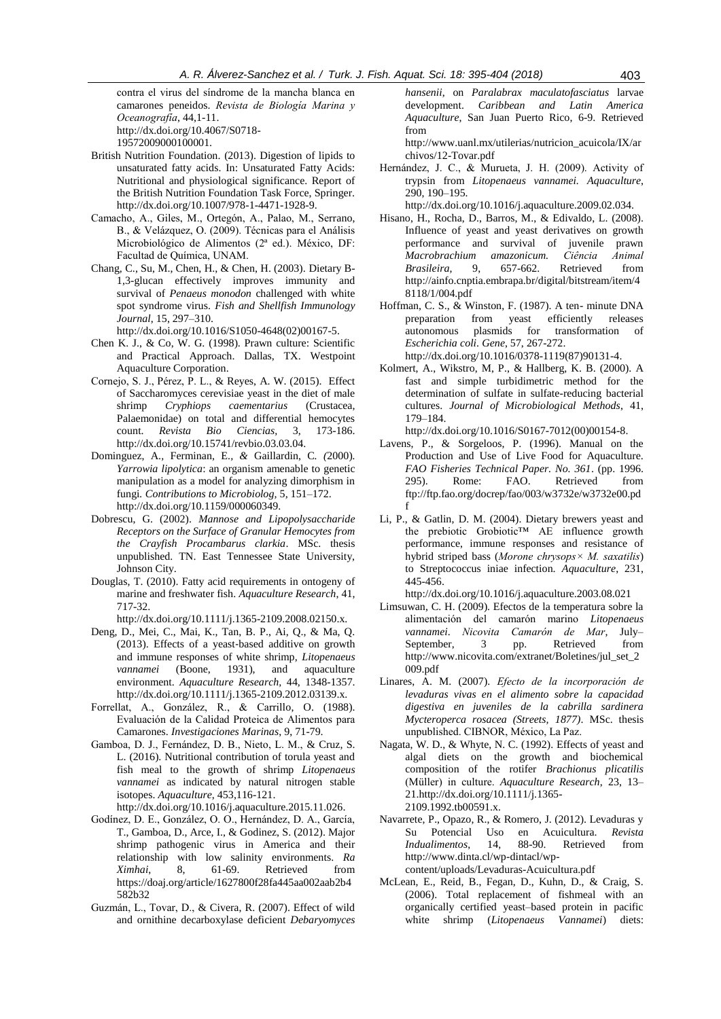contra el virus del síndrome de la mancha blanca en camarones peneidos. *Revista de Biología Marina y Oceanografía*, 44,1-11. http://dx.doi.org/10.4067/S0718- 19572009000100001.

- [British Nutrition Foundation.](https://www.google.com.mx/search?hl=es&tbo=p&tbm=bks&q=inauthor:%22The+British+Nutrition+Foundation%22&source=gbs_metadata_r&cad=5) (2013). Digestion of lipids to unsaturated fatty acids. In: Unsaturated Fatty Acids: Nutritional and physiological significance. Report of the British Nutrition Foundation Task Force, Springer. http://dx.doi.org/10.1007/978-1-4471-1928-9.
- Camacho, A., Giles, M., Ortegón, A., Palao, M., Serrano, B., & Velázquez, O. (2009). Técnicas para el Análisis Microbiológico de Alimentos (2ª ed.). México, DF: Facultad de Química, UNAM.
- Chang, C., Su, M., Chen, H., & Chen, H. (2003). Dietary B-1,3-glucan effectively improves immunity and survival of *Penaeus monodon* challenged with white spot syndrome virus. *Fish and Shellfish Immunology Journal*, 15, 297–310.

http://dx.doi.org/10.1016/S1050-4648(02)00167-5.

- Chen K. J., & Co, W. G. (1998). Prawn culture: Scientific and Practical Approach. Dallas, TX. Westpoint Aquaculture Corporation.
- Cornejo, S. J., Pérez, P. L., & Reyes, A. W. (2015). Effect of Saccharomyces cerevisiae yeast in the diet of male shrimp *Cryphiops caementarius* (Crustacea, Palaemonidae) on total and differential hemocytes count. *Revista Bio Ciencias,* 3, 173-186. http://dx.doi.org/10.15741/revbio.03.03.04.
- Dominguez, A.*,* Ferminan, E.*, &* Gaillardin, C*. (*2000)*. Yarrowia lipolytica*: an organism amenable to genetic manipulation as a model for analyzing dimorphism in fungi*. Contributions to Microbiolog,* 5*,* 151*–*172. http://dx.doi.org/10.1159/000060349.
- Dobrescu, G. (2002). *Mannose and Lipopolysaccharide Receptors on the Surface of Granular Hemocytes from the Crayfish Procambarus clarkia*. MSc. thesis unpublished. TN. East Tennessee State University, Johnson City.
- Douglas, T. (2010). Fatty acid requirements in ontogeny of marine and freshwater fish. *Aquaculture Research*, 41, 717-32.

http://dx.doi.org/10.1111/j.1365-2109.2008.02150.x.

- Deng, D., Mei, C., Mai, K., Tan, B. P., Ai, Q., & Ma, Q. (2013). Effects of a yeast‐based additive on growth and immune responses of white shrimp, *Litopenaeus vannamei* (Boone, 1931), and aquaculture environment. *Aquaculture Research,* 44, 1348-1357. http://dx.doi.org/10.1111/j.1365-2109.2012.03139.x.
- Forrellat, A., González, R., & Carrillo, O. (1988). Evaluación de la Calidad Proteica de Alimentos para Camarones. *Investigaciones Marinas*, 9, 71-79.
- Gamboa, D. J., Fernández, D. B., Nieto, L. M., & Cruz, S. L. (2016). Nutritional contribution of torula yeast and fish meal to the growth of shrimp *Litopenaeus vannamei* as indicated by natural nitrogen stable isotopes. *Aquaculture*, 453,116-121.

[http://dx.doi.org/10.1016/j.aquaculture.2015.11.026.](http://dx.doi.org/10.1016/j.aquaculture.2015.11.026)

- Godínez, D. E., González, O. O., Hernández, D. A., García, T., Gamboa, D., Arce, I., & Godinez, S. (2012). Major shrimp pathogenic virus in America and their relationship with low salinity environments. *Ra Ximhai*, 8, 61-69. Retrieved from https://doaj.org/article/1627800f28fa445aa002aab2b4 582b32
- Guzmán, L., Tovar, D., & Civera, R. (2007). Effect of wild and ornithine decarboxylase deficient *Debaryomyces*

*hansenii*, on *Paralabrax maculatofasciatus* larvae development. *Caribbean and Latin America Aquaculture*, San Juan Puerto Rico, 6-9. Retrieved from

http://www.uanl.mx/utilerias/nutricion\_acuicola/IX/ar chivos/12-Tovar.pdf

Hernández, J. C., & Murueta, J. H. (2009). Activity of trypsin from *Litopenaeus vannamei. Aquaculture*, 290, 190–195.

http://dx.doi.org/10.1016/j.aquaculture.2009.02.034.

- Hisano, H., Rocha, D., Barros, M., & Edivaldo, L. (2008). Influence of yeast and yeast derivatives on growth performance and survival of juvenile prawn *Macrobrachium amazonicum. Ciência Animal Brasileira*, 9, 657-662. Retrieved from http://ainfo.cnptia.embrapa.br/digital/bitstream/item/4 8118/1/004.pdf
- Hoffman, C. S., & Winston, F. (1987). A ten- minute DNA preparation from yeast efficiently releases autonomous plasmids for transformation of *Escherichia coli*. *Gene*, 57, 267-272.

http://dx.doi.org/10.1016/0378-1119(87)90131-4.

Kolmert, A., Wikstro, M, P., & Hallberg, K. B. (2000). A fast and simple turbidimetric method for the determination of sulfate in sulfate-reducing bacterial cultures. *Journal of Microbiological Methods*, 41, 179–184.

http://dx.doi.org/10.1016/S0167-7012(00)00154-8.

- Lavens, P., & Sorgeloos, P. (1996). Manual on the Production and Use of Live Food for Aquaculture. *FAO Fisheries Technical Paper. No. 361*. (pp. 1996. 295). Rome: FAO. Retrieved from ftp://ftp.fao.org/docrep/fao/003/w3732e/w3732e00.pd f
- Li, P., & Gatlin, D. M. (2004). Dietary brewers yeast and the prebiotic Grobiotic™ AE influence growth performance, immune responses and resistance of hybrid striped bass (*Morone chrysops× M. saxatilis*) to Streptococcus iniae infection. *Aquaculture*, 231, 445-456.
- http://dx.doi.org/10.1016/j.aquaculture.2003.08.021 Limsuwan, C. H. (2009). Efectos de la temperatura sobre la alimentación del camarón marino *Litopenaeus vannamei*. *Nicovita Camarón de Mar*, July– September, 3 pp. Retrieved from http://www.nicovita.com/extranet/Boletines/jul\_set\_2 009.pdf
- Linares, A. M. (2007). *Efecto de la incorporación de levaduras vivas en el alimento sobre la capacidad digestiva en juveniles de la cabrilla sardinera Mycteroperca rosacea (Streets, 1877)*. MSc. thesis unpublished. CIBNOR, México, La Paz.
- Nagata, W. D., & Whyte, N. C. (1992). Effects of yeast and algal diets on the growth and biochemical composition of the rotifer *Brachionus plicatilis* (Müller) in culture. *Aquaculture Research*, 23, 13– 21.http://dx.doi.org/10.1111/j.1365- 2109.1992.tb00591.x.
- Navarrete, P., Opazo, R., & Romero, J. (2012). Levaduras y Su Potencial Uso en Acuicultura. *Revista Indualimentos*, 14, 88-90. Retrieved from http://www.dinta.cl/wp-dintacl/wpcontent/uploads/Levaduras-Acuicultura.pdf
- McLean, E., Reid, B., Fegan, D., Kuhn, D., & Craig, S. (2006). Total replacement of fishmeal with an organically certified yeast–based protein in pacific white shrimp (*Litopenaeus Vannamei*) diets: